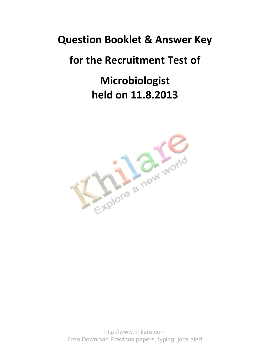### **Question Booklet & Answer Key**

## **for the Recruitment Test of**

# **Microbiologist held on 11.8.2013**



http://www.khilare.com Free Download Previous papers, typing, jobs alert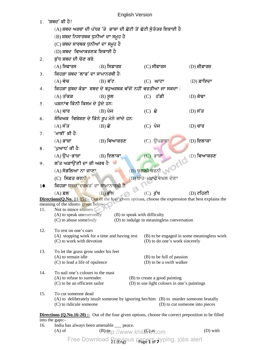|                                                                                                              | <b>English Version</b>                                                       |                |                                                                                                              |                                            |  |  |  |
|--------------------------------------------------------------------------------------------------------------|------------------------------------------------------------------------------|----------------|--------------------------------------------------------------------------------------------------------------|--------------------------------------------|--|--|--|
|                                                                                                              | 1. <i>'</i> ਸ਼ਬਦ' ਕੀ ਹੈ?                                                     |                |                                                                                                              |                                            |  |  |  |
|                                                                                                              |                                                                              |                | (A) ਸ਼ਬਦ ਅਰਥਾਂ ਦੀ ਪੱਧਰ 'ਤੇ  ਭਾਸ਼ਾ ਦੀ ਛੋਟੀ ਤੋਂ ਛੋਟੀ ਸੁੰਤੰਤਰ ਇਕਾਈ ਹੈ                                           |                                            |  |  |  |
|                                                                                                              | (B) ਸ਼ਬਦ ਨਿਸਾਰਥਕ ਧੁਨੀਆਂ ਦਾ ਸਮੂਹ ਹੈ                                           |                |                                                                                                              |                                            |  |  |  |
|                                                                                                              | (C) ਸ਼ਬਦ ਸਾਰਥਕ ਧੁਨੀਆਂ ਦਾ ਸਮੂਹ ਹੈ                                             |                |                                                                                                              |                                            |  |  |  |
|                                                                                                              | (D) ਸ਼ਬਦ <b>ੀਵਆਕਰਣਕ ਇਕਾਈ</b> ਹੈ                                              |                |                                                                                                              |                                            |  |  |  |
| 2.                                                                                                           | ਸ਼ੱਧ ਸ਼ਬਦ ਦੀ ਚੋਣ ਕਰੋ:                                                        |                |                                                                                                              |                                            |  |  |  |
|                                                                                                              | $(A)$ ਸਿਫਾਰਸ                                                                 | $(B)$ ਸਿਫ਼ਾਰਸ਼ | $(C)$ ਸੀਫਾਰਸ                                                                                                 | (D) ਸ਼ੀਫ਼ਾਰਸ਼                              |  |  |  |
| 3.                                                                                                           | ਕਿਹੜਾ ਸ਼ਬਦ 'ਲਾਭ' ਦਾ ਸਾਮਾਨਰਥੀ ਹੈ:                                             |                |                                                                                                              |                                            |  |  |  |
|                                                                                                              | $(A)$ ਵੇਚ                                                                    | $(B)$ ਵੱਟ      | $(C)$ ਘਾਟਾ                                                                                                   | $(D)$ ਫ਼ਾਇਦਾ                               |  |  |  |
| 4.                                                                                                           |                                                                              |                | ਕਿਹੜਾ ਸ਼ੁਬਦ ਕੰਡਾ ਸ਼ਬਦ ਦੇ ਬਹੁਅਰਥਕ ਵੱਜੋਂ ਨਹੀਂ ਵਰਤੀਆ ਜਾ ਸਕਦਾ :                                                  |                                            |  |  |  |
|                                                                                                              | $(A)$ ਤੱਕੜ                                                                   | $(B)$ ਸੁਲ      | $(C)$ ਹੱਡੀ                                                                                                   | $(D)$ ਕੰਢਾ                                 |  |  |  |
| 5.                                                                                                           | ਪੜਨਾਂਵ ਕਿੰਨੀ ਕਿਸਮ ਦੇ ਹੋਦੇ ਹਨ:                                                |                |                                                                                                              |                                            |  |  |  |
|                                                                                                              | $(A)$ ਚਾਰ                                                                    | $(B)$ ਪੰਜ      | $(C)$ ਛੇ                                                                                                     | (D) ਸੱਤ                                    |  |  |  |
| 6.                                                                                                           | ਸੈਖਿਅਕ ਵਿਸ਼ੇਸ਼ਣ ਦੇ ਕਿੰਨੇ ਰੂਪ ਮੈਨੇ ਜਾਂਦੇ ਹਨः                                  |                |                                                                                                              |                                            |  |  |  |
|                                                                                                              | $(A)$ ਸੱਤ                                                                    | $(B)$ ਛੇ       | $(C)$ ਪੰਜ                                                                                                    | $(D)$ ਚਾਰ                                  |  |  |  |
| 7.                                                                                                           | 'ਮਾਝੀ' ਕੀ ਹੈ:                                                                |                |                                                                                                              |                                            |  |  |  |
|                                                                                                              | $(A)$ ਭਾਸ਼ਾ                                                                  | $(B)$ ਵਿਆਕਰਣ   | $(C)$ ਉਪਭਾਸ਼ਾ                                                                                                | $(D)$ ਇਲਾਕਾ                                |  |  |  |
| 8.                                                                                                           | 'ਪੁਆਧ' ਕੀ ਹੈ:                                                                |                |                                                                                                              |                                            |  |  |  |
|                                                                                                              | $(A)$ ੳਪ–ਭਾਸ਼ਾ                                                               | $(B)$ ਇਲਾਕਾ    | (C)<br>ਭਾਸ਼ਾ                                                                                                 | (D) ਵਿਆਕਰਣ                                 |  |  |  |
| 9.                                                                                                           | ਲੱਤ ਅੜਾਉਂਣੀ ਦਾ ਕੀ ਅਰਥ ਹੈ:                                                    |                |                                                                                                              |                                            |  |  |  |
|                                                                                                              | (A) ਸੰਭਲਿਆ ਨਾ ਜਾਣਾ                                                           |                | (B) ਚੁਗਲੀ ਕਰਨੀ WOM                                                                                           |                                            |  |  |  |
|                                                                                                              | (C) ਸਿਫ਼ਤ ਕਰਨੀ <i>-</i>                                                      |                |                                                                                                              |                                            |  |  |  |
| 10.                                                                                                          | ਕਿਹੜਾ ਸ਼ਬਦ 'ਦਰਖ਼ਤ' ਦਾ ਸਾਮਾਨਾਰਥੀ ਹੈ:                                          |                |                                                                                                              |                                            |  |  |  |
|                                                                                                              | $(A)$ ਫ਼ਲ                                                                    | $(B)$ ਫੁੱਲ     | $(C)$ ਰੁੱਖ                                                                                                   | $(D)$ ਟਹਿਣੀ                                |  |  |  |
| <b>Directions (Q.No. 11-15):</b> Out of the four given options, choose the expression that best explains the |                                                                              |                |                                                                                                              |                                            |  |  |  |
| meaning of the idioms given below:-<br>11. Not to mince matters                                              |                                                                              |                |                                                                                                              |                                            |  |  |  |
|                                                                                                              | (A) to speak unreservedly                                                    |                | (B) to speak with difficulty                                                                                 |                                            |  |  |  |
|                                                                                                              | (D) to indulge in meaningless conversation<br>(C) to abuse somebody          |                |                                                                                                              |                                            |  |  |  |
| 12.                                                                                                          | To rest on one's oars                                                        |                |                                                                                                              |                                            |  |  |  |
|                                                                                                              | (A) stopping work for a time and having rest                                 |                |                                                                                                              | (B) to be engaged in some meaningless work |  |  |  |
|                                                                                                              | (C) to work with devotion                                                    |                | (D) to do one's work sincerely                                                                               |                                            |  |  |  |
| 13.                                                                                                          | To let the grass grow under his feet                                         |                |                                                                                                              |                                            |  |  |  |
|                                                                                                              | (A) to remain idle<br>(C) to lead a life of opulence                         |                | (B) to be full of passion<br>(D) to be a swift walker                                                        |                                            |  |  |  |
|                                                                                                              |                                                                              |                |                                                                                                              |                                            |  |  |  |
| 14.                                                                                                          | To nail one's colours to the mast                                            |                |                                                                                                              |                                            |  |  |  |
|                                                                                                              | (A) to refuse to surrender<br>(C) to be an efficient sailor                  |                | (B) to create a good painting<br>(D) to use light colours in one's paintings                                 |                                            |  |  |  |
|                                                                                                              |                                                                              |                |                                                                                                              |                                            |  |  |  |
| 15.                                                                                                          | To cut someone dead                                                          |                | (A) to deliberately insult someone by ignoring her/him (B) to murder someone brutally                        |                                            |  |  |  |
|                                                                                                              | (C) to ridicule someone                                                      |                |                                                                                                              | (D) to cut someone into pieces             |  |  |  |
|                                                                                                              |                                                                              |                |                                                                                                              |                                            |  |  |  |
|                                                                                                              | into the gaps:-                                                              |                | <b>Directions (Q.No.16-20) :-</b> Out of the four given options, choose the correct preposition to be filled |                                            |  |  |  |
| 16.                                                                                                          | India has always been amenable ___ peace.                                    |                |                                                                                                              |                                            |  |  |  |
|                                                                                                              | (D) with<br>$(A)$ of<br><sup>(B</sup> ) f(tp://www.khils Fe <sup>t</sup> com |                |                                                                                                              |                                            |  |  |  |

Free Download **Previous papers, t**yping, jobs alert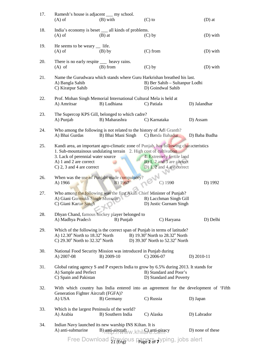| 17. | Ramesh's house is adjacent __ my school.<br>$(A)$ of                                                                                                                                                                                                         | $(B)$ with                                | $(C)$ to                                                                              | $(D)$ at         |
|-----|--------------------------------------------------------------------------------------------------------------------------------------------------------------------------------------------------------------------------------------------------------------|-------------------------------------------|---------------------------------------------------------------------------------------|------------------|
| 18. | India's economy is beset __ all kinds of problems.<br>$(A)$ of                                                                                                                                                                                               | $(B)$ at                                  | $(C)$ by                                                                              | $(D)$ with       |
| 19. | He seems to be weary $\quad$ life.<br>$(A)$ of                                                                                                                                                                                                               | $(B)$ by                                  | $(C)$ from                                                                            | $(D)$ with       |
| 20. | There is no early respite _____ heavy rains.<br>$(A)$ of                                                                                                                                                                                                     | $(B)$ from                                | $(C)$ by                                                                              | (D) with         |
| 21. | Name the Gurudwara which stands where Guru Harkrishan breathed his last.<br>A) Bangla Sahib<br>C) Kiratpur Sahib                                                                                                                                             |                                           | B) Ber Sahib - Sultanpur Lodhi<br>D) Goindwal Sahib                                   |                  |
| 22. | Prof. Mohan Singh Memorial International Cultural Mela is held at<br>A) Amritsar                                                                                                                                                                             | B) Ludhiana                               | C) Patiala                                                                            | D) Jalandhar     |
| 23. | The Supercop KPS Gill, belonged to which cadre?<br>A) Punjab                                                                                                                                                                                                 | B) Maharashra                             | C) Karnataka                                                                          | D) Assam         |
| 24. | Who among the following is not related to the history of Adi Granth?<br>A) Bhai Gurdas                                                                                                                                                                       | B) Bhai Mani Singh                        | C) Banda Bahadur                                                                      | D) Baba Budha    |
| 25. | Kandi area, an important agro-climatic zone of Punjab, has following characteristics<br>1. Sub-mountainous undulating terrain 2. High cost of cultivation<br>3. Lack of perennial water source<br>A) 1 and 2 are correct<br>C) $2$ , $3$ and $4$ are correct |                                           | 4. Extremely fertile land<br>B) 1, 2 and 3 are correct<br>D) $1, 2$ and 4 are correct |                  |
| 26. | When was the use of Punjabi made compulsory?<br>A) 1966                                                                                                                                                                                                      | B) 1967                                   | $C)$ 1990                                                                             | D) 1992          |
| 27. | Who among the following was the first Akali Chief Minister of Punjab?<br>A) Giani Gurmukh Singh Mussafir<br>C) Giani Kartar Singh                                                                                                                            |                                           | B) Lacchman Singh Gill<br>D) Justic Gurnam Singh                                      |                  |
| 28. | Dhyan Chand, famous hockey player belonged to<br>A) Madhya Pradesh                                                                                                                                                                                           | B) Punjab                                 | C) Haryana                                                                            | D) Delhi         |
| 29. | Which of the following is the correct span of Punjab in terms of latitude?<br>A) $12.30^{\circ}$ North to $18.32^{\circ}$ North<br>C) $29.30^{\circ}$ North to $32.32^{\circ}$ North                                                                         |                                           | B) 19.30° North to 28.32° North<br>D) 39.30° North to 52.32° North                    |                  |
| 30. | National Food Security Mission was introduced in Punjab during<br>A) 2007-08                                                                                                                                                                                 | B) 2009-10                                | $C)$ 2006-07                                                                          | D) $2010-11$     |
| 31. | Global rating agency S and P expects India to grow by 6.5% during 2013. It stands for<br>A) Sample and Perfect<br>C) Spain and Pakistan                                                                                                                      |                                           | B) Standard and Poor's<br>D) Standard and Poverty                                     |                  |
| 32. | With which country has India entered into an agreement for the development of 'Fifth<br>Generation Fighter Aircraft (FGFA)?<br>A) USA                                                                                                                        | B) Germany                                | C) Russia                                                                             | D) Japan         |
| 33. | Which is the largest Peninsula of the world?<br>A) Arabia                                                                                                                                                                                                    | B) Southern India                         | C) Alaska                                                                             | D) Labrador      |
| 34. | Indian Navy launched its new warship INS Kiltan. It is<br>A) anti-submarine                                                                                                                                                                                  | $B)$ anti-aircraft $WW$ khilf anti-piracy |                                                                                       | D) none of these |
|     | <b>Free Download</b>                                                                                                                                                                                                                                         |                                           | Previous papers, typing, jobs alert                                                   |                  |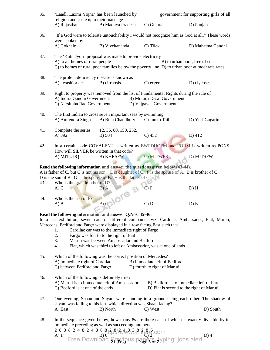| 35. | religion and caste upto their marriage                                                                                                                                                                                          | 'Laadli Laxmi Yojna' has been launched by _____________ government for supporting girls of all                                                                                                                                                       |                                                                                                                                                                                                                                                                                                                |                   |  |  |  |
|-----|---------------------------------------------------------------------------------------------------------------------------------------------------------------------------------------------------------------------------------|------------------------------------------------------------------------------------------------------------------------------------------------------------------------------------------------------------------------------------------------------|----------------------------------------------------------------------------------------------------------------------------------------------------------------------------------------------------------------------------------------------------------------------------------------------------------------|-------------------|--|--|--|
|     | A) Rajasthan                                                                                                                                                                                                                    | B) Madhya Pradesh                                                                                                                                                                                                                                    | C) Gujarat                                                                                                                                                                                                                                                                                                     | D) Punjab         |  |  |  |
| 36. | "If a God were to tolerate untouchability I would not recognize him as God at all." These words                                                                                                                                 |                                                                                                                                                                                                                                                      |                                                                                                                                                                                                                                                                                                                |                   |  |  |  |
|     | were spoken by<br>A) Gokhale                                                                                                                                                                                                    | B) Vivekananda                                                                                                                                                                                                                                       | C) Tilak                                                                                                                                                                                                                                                                                                       | D) Mahatma Gandhi |  |  |  |
| 37. | The 'Kutir Jyoti' proposal was made to provide electricity<br>A) to all homes of rural people<br>B) to urban poor, free of cost<br>C) to homes of rural poor families below the poverty line D) to urban poor at moderate rates |                                                                                                                                                                                                                                                      |                                                                                                                                                                                                                                                                                                                |                   |  |  |  |
| 38. | The protein deficiency disease is known as<br>A) kwashiorker                                                                                                                                                                    | B) cirrhosis                                                                                                                                                                                                                                         | C) eczema                                                                                                                                                                                                                                                                                                      | D) clycoses       |  |  |  |
| 39. | Right to property was removed from the list of Fundamental Rights during the rule of<br>A) Indira Gandhi Government<br>B) Morarji Desai Government<br>C) Narsimha Rao Government<br>D) Vajpayee Government                      |                                                                                                                                                                                                                                                      |                                                                                                                                                                                                                                                                                                                |                   |  |  |  |
| 40. | A) Amrendra Singh                                                                                                                                                                                                               | The first Indian to cross seven important seas by swimming<br>B) Bula Chaudhury                                                                                                                                                                      | C) Junko Taibei                                                                                                                                                                                                                                                                                                | D) Yuri Gagarin   |  |  |  |
| 41. | Complete the series<br>A) 392                                                                                                                                                                                                   | $12, 36, 80, 150, 252, \underline{\hspace{1cm}}$<br>B) 504                                                                                                                                                                                           | $\overline{C}$ ) 452                                                                                                                                                                                                                                                                                           | $D)$ 412          |  |  |  |
| 42. | How will SILVER be written in that code?                                                                                                                                                                                        | In a certain code COVALENT is written as BWPDUOFM and FORM is written as PGNS.                                                                                                                                                                       |                                                                                                                                                                                                                                                                                                                |                   |  |  |  |
|     | A) MJTUDQ                                                                                                                                                                                                                       | <b>B) KHRSFW</b>                                                                                                                                                                                                                                     | C) MJTWFS                                                                                                                                                                                                                                                                                                      | D) MJTSFW         |  |  |  |
| 43. | Who is the grandmother of $D$ ?                                                                                                                                                                                                 | Read the following information and answer the questions given below (43-44).<br>A is father of C, but C is not his son. E is daughter of C. F is the spouse of A. B is brother of C<br>D is the son of B. G is the spouse of B. H is the father of G |                                                                                                                                                                                                                                                                                                                |                   |  |  |  |
|     | A) C                                                                                                                                                                                                                            |                                                                                                                                                                                                                                                      | C) F                                                                                                                                                                                                                                                                                                           | D) H              |  |  |  |
| 44. | Who is the son of $F$ ?<br>$A)$ $B$                                                                                                                                                                                             | BICOIOTE 3                                                                                                                                                                                                                                           | C) D                                                                                                                                                                                                                                                                                                           | D) E              |  |  |  |
|     |                                                                                                                                                                                                                                 | Read the following information and answer Q.Nos. 45-46.                                                                                                                                                                                              |                                                                                                                                                                                                                                                                                                                |                   |  |  |  |
|     |                                                                                                                                                                                                                                 | In a car exhibition, seven cars of different companies viz. Cardilac, Ambassador, Fiat, Maruti,<br>Mercedes, Bedford and Fargo were displayed in a row facing East such that                                                                         |                                                                                                                                                                                                                                                                                                                |                   |  |  |  |
|     | 1.<br>2.                                                                                                                                                                                                                        | Cardilac car was to the immediate right of Fargo<br>Fargo was fourth to the right of Fiat                                                                                                                                                            |                                                                                                                                                                                                                                                                                                                |                   |  |  |  |
|     | 3.                                                                                                                                                                                                                              | Maruti was between Amabssador and Bedford                                                                                                                                                                                                            |                                                                                                                                                                                                                                                                                                                |                   |  |  |  |
|     | 4.                                                                                                                                                                                                                              | Fiat, which was third to left of Ambassador, was at one of ends                                                                                                                                                                                      |                                                                                                                                                                                                                                                                                                                |                   |  |  |  |
| 45. | A) immediate right of Cardilac                                                                                                                                                                                                  | Which of the following was the correct position of Mercedes?                                                                                                                                                                                         | B) immediate left of Bedford                                                                                                                                                                                                                                                                                   |                   |  |  |  |
|     | C) between Bedford and Fargo                                                                                                                                                                                                    |                                                                                                                                                                                                                                                      | D) fourth to right of Maruti                                                                                                                                                                                                                                                                                   |                   |  |  |  |
| 46. | Which of the following is definitely true?<br>A) Maruti is to immediate left of Ambassador<br>C) Bedford is at one of the ends                                                                                                  |                                                                                                                                                                                                                                                      | B) Bedford is to immediate left of Fiat<br>D) Fiat is second to the right of Maruti                                                                                                                                                                                                                            |                   |  |  |  |
| 47. | One evening, Shaan and Shyam were standing in a ground facing each other. The shadow of                                                                                                                                         |                                                                                                                                                                                                                                                      |                                                                                                                                                                                                                                                                                                                |                   |  |  |  |
|     | A) East                                                                                                                                                                                                                         | shyam was falling to his left, which direction was Shaan facing?<br>B) North                                                                                                                                                                         | C) West                                                                                                                                                                                                                                                                                                        | D) South          |  |  |  |
| 48. |                                                                                                                                                                                                                                 | In the sequence given below, how many 8s are there each of which is exactly divisible by its<br>immediate preceding as well as succeeding numbers                                                                                                    |                                                                                                                                                                                                                                                                                                                |                   |  |  |  |
|     |                                                                                                                                                                                                                                 |                                                                                                                                                                                                                                                      | 2 8 3 8 2 4 8 2 4 8 6 $\frac{8}{10}$ $\frac{1}{2}$ $\frac{1}{2}$ $\frac{1}{2}$ $\frac{1}{2}$ $\frac{1}{2}$ $\frac{1}{2}$ $\frac{1}{2}$ $\frac{1}{2}$ $\frac{1}{2}$ $\frac{1}{2}$ $\frac{1}{2}$ $\frac{1}{2}$ $\frac{1}{2}$ $\frac{1}{2}$ $\frac{1}{2}$ $\frac{1}{2}$ $\frac{1}{2}$ $\frac{1}{2}$ $\frac{1}{2}$ | $D$ ) 4           |  |  |  |

 $21$  (Eng)<sup> $\cup$  ></sup> Page **3** of **7**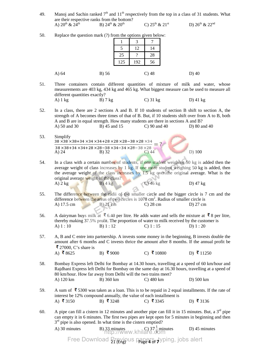- 49. Manoj and Sachin ranked  $7<sup>th</sup>$  and  $11<sup>th</sup>$  respectively from the top in a class of 31 students. What are their respective ranks from the bottom? A)  $20^{th}$  &  $24^{th}$  B)  $24^{th}$  &  $20^{th}$  C)  $25^{th}$  &  $21^{st}$  D)  $26^{th}$  &  $22^{nd}$
- $1 \mid 3 \mid 7$ 5 12 14 25 | ? | 28 125 | 192 | 56 A) 64 B) 56 C) 48 D) 40 51. Three containers contain different quantities of mixture of milk and water, whose measurements are 403 kg, 434 kg and 465 kg. What biggest measure can be used to measure all different quantities exactly? A) 1 kg B) 7 kg C) 31 kg D) 41 kg 52. In a class, there are 2 sections A and B. If 10 students of section B shift to section A, the strength of A becomes three times of that of B. But, if 10 students shift over from A to B, both A and B are in equal strength. How many students are there in sections A and B? A) 50 and 30 B) 45 and 15 C) 90 and 40 D) 80 and 40 53. Simplify  $38 \times 38 \times 38 + 34 \times 34 \times 34 + 28 \times 28 \times 28 - 38 \times 28 \times 34$  $38 \times 38 + 34 \times 34 + 28 \times 28 - 38 \times 34 - 34 \times 28 - 38 \times 28$  $=$  ? A) 24 B) 32 C) 44 D) 100 54. In a class with a certain number of students, if one student weighing 50 kg is added then the average weight of class increases by 1 kg. If one more student weighing 50 kg is added, then the average weight of the class increases by 1.5 kg over the original average. What is the original average weight of the class?<br>A)  $2 \text{ kg}$  B)  $4 \text{ kg}$ A)  $2 \text{ kg}$  B)  $4 \text{ kg}$  C)  $46 \text{ kg}$  D)  $47 \text{ kg}$ 55. The difference between the radii of the smaller circle and the bigger circle is 7 cm and the difference between the areas of two circles is 1078 cm<sup>2</sup>. Radius of smaller circle is A) 17.5 cm B) 21 cm C) 28 cm D) 27 cm 56. A dairyman buys milk at  $\bar{8}$  6.40 per litre. He adds water and sells the mixture at  $\bar{8}$  per litre, thereby making 37.5% profit. The proportion of water to milk received by the customer is A) 1 : 10 B) 1 : 12 C) 1 : 15 D) 1 : 20 57. A, B and C entre into partnership. A invests some money in the beginning, B invests double the amount after 6 months and C invests thrice the amount after 8 months. If the annual profit be **₹** 27000, C's share is<br>A) ₹ 8625 B) ₹9000 C) ₹10800 D) ₹11250 58. Bombay Express left Delhi for Bombay at 14.30 hours, travelling at a speed of 60 km/hour and Rajdhani Express left Delhi for Bombay on the same day at 16.30 hours, travelling at a speed of 80 km/hour. How far away from Delhi will the two trains meet? A) 120 km B) 360 km C) 480 km D) 500 km 59. A sum of  $\bar{\mathbf{\xi}}$  5300 was taken as a loan. This is to be repaid in 2 equal installments. If the rate of interest be 12% compound annually, the value of each installment is A) ₹3150 B) ₹3248 C) ₹3345 D) ₹3136 60. A pipe can fill a cistern in 12 minutes and another pipe can fill it in 15 minutes. But, a  $3<sup>rd</sup>$  pipe can empty it in 6 minutes. The first two pipes are kept open for 5 minutes in beginning and then 3<sup>rd</sup> pipe is also opened. In what time is the cistern emptied? A) 30 minutes B)  $33$  minutes http://www.khilare.com D) 45 minutes

50. Replace the question mark (?) from the options given below:

Free Download **Previous papers, t**yping, jobs alert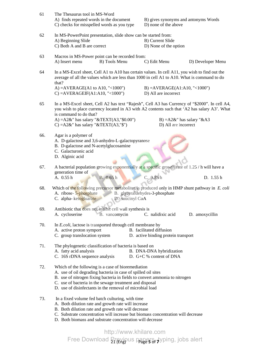| 61  | The Thesaurus tool in MS-Word<br>A) finds repeated words in the document<br>C) checks for misspelled words as you type                                                                                                                                                                                                    |                                                         | B) gives synonyms and antonyms Words<br>D) none of the above |  |  |  |
|-----|---------------------------------------------------------------------------------------------------------------------------------------------------------------------------------------------------------------------------------------------------------------------------------------------------------------------------|---------------------------------------------------------|--------------------------------------------------------------|--|--|--|
| 62  | In MS-PowerPoint presentation, slide show can be started from:<br>A) Beginning Slide<br>C) Both A and B are correct                                                                                                                                                                                                       | B) Current Slide                                        | D) None of the option                                        |  |  |  |
| 63  | Macros in MS-Power point can be recorded from:<br>A) Insert menu<br>B) Tools Menu                                                                                                                                                                                                                                         | C) Edit Menu                                            | D) Developer Menu                                            |  |  |  |
| 64  | In a MS-Excel sheet, Cell A1 to A10 has certain values. In cell A11, you wish to find out the<br>average of all the values which are less than 1000 in cell A1 to A10. What is command to do<br>that?                                                                                                                     |                                                         |                                                              |  |  |  |
|     | A) = $AVERAGE(A1 to A10, "<1000")$<br>$C$ ) = AVERAGEIF(A1:A10, "<1000")                                                                                                                                                                                                                                                  | $B) = AVERAGE(A1:A10, "<1000")$<br>D) All are incorrect |                                                              |  |  |  |
| 65  | In a MS-Excel sheet, Cell A2 has text "Rajesh", Cell A3 has Currency of "\$2000". In cell A4,<br>you wish to place currency located in A3 with A2 contents such that 'A2 has salary A3'. What<br>is command to do that?                                                                                                   |                                                         |                                                              |  |  |  |
|     | A) = $A2&$ " has salary " $&$ TEXT(A3,"\$0.00")<br>C) = $A2&$ " has salary " $&$ TEXT(A3,"\$")                                                                                                                                                                                                                            | D) All are incorrect                                    | B) = $A2\&$ " has salary " $\&A3$                            |  |  |  |
| 66. | Agar is a polymer of<br>A. D-galactose and 3,6-anhydro-L-galactopyranose<br>B. D-galactose and N-acetylglucosamine<br>C. Galacturonic acid<br>D. Alginic acid                                                                                                                                                             |                                                         |                                                              |  |  |  |
| 67. | A bacterial population growing exponentially at a specific growth rate of 1.25 / h will have a<br>generation time of<br>A. 0.55 h<br>B. 0.65 h                                                                                                                                                                            | C. 0.85 h                                               | D. 1.55 h                                                    |  |  |  |
| 68. | Which of the following precursor metabolites is produced only in HMP shunt pathway in E. coli<br>A. ribose-5-phosphate<br>C. alpha-ketogluarate                                                                                                                                                                           | B. glyceraldehydes-3-phosphate<br>D. suucinyl CoA       |                                                              |  |  |  |
| 69. | Antibiotic that does not inhibit cell wall synthesis is<br>B. vancomycin C. nalidixic acid<br>A. cycloserine<br>D. amoxycillin                                                                                                                                                                                            |                                                         |                                                              |  |  |  |
| 70. | In <i>E. coli</i> , lactose is transported through cell membrane by<br>B. facilitated diffusion<br>A. active proton symport<br>C. group translocation system<br>D. active binding protein transport                                                                                                                       |                                                         |                                                              |  |  |  |
| 71. | The phylogenetic classification of bacteria is based on<br>A. fatty acid analysis<br>C. 16S rDNA sequence analysis                                                                                                                                                                                                        | B. DNA-DNA hybridization<br>D. G+C % content of DNA     |                                                              |  |  |  |
| 72. | Which of the following is a case of bioremediation<br>A. use of oil degrading bacteria in case of spilled oil sites<br>B. use of nitrogen fixing bacteria in fields to convert ammonia to nitrogen<br>C. use of bacteria in the sewage treatment and disposal<br>D. use of disinfectants in the removal of microbial load |                                                         |                                                              |  |  |  |
| 73. | In a fixed volume fed batch culturing, with time<br>A. Both dilution rate and growth rate will increase<br>B. Both dilution rate and growth rate will decrease<br>C. Substrate concentration will increase but biomass concentration will decrease<br>D. Both biomass and substrate concentration will decrease           |                                                         |                                                              |  |  |  |
|     |                                                                                                                                                                                                                                                                                                                           | http://www.khilare.com                                  |                                                              |  |  |  |

 $21$  (Eng)<sup> $\cup$  ></sup> Page **5** of **7** 

Free Download Brevious papers, typing, jobs alert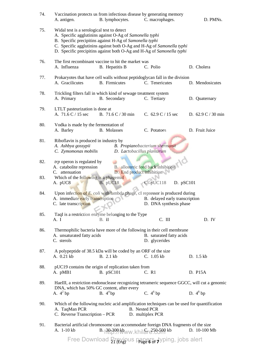| 74. | A. antigen.                                                                                                                                                                                                                                                                                                        | Vaccination protects us from infectious disease by generating memory<br>B. lymphocytes.                                                   | C. macrophages.                                                 | D. PMNs.                             |  |  |  |  |
|-----|--------------------------------------------------------------------------------------------------------------------------------------------------------------------------------------------------------------------------------------------------------------------------------------------------------------------|-------------------------------------------------------------------------------------------------------------------------------------------|-----------------------------------------------------------------|--------------------------------------|--|--|--|--|
| 75. | Widal test is a serological test to detect<br>A. Specific agglutinins against O-Ag of Samonella typhi<br>B. Specific precipitins against H-Ag of Samonella typhi<br>C. Specific agglutinins against both O-Ag and H-Ag of Samonella typhi<br>D. Specific precipitins against both O-Ag and H-Ag of Samonella typhi |                                                                                                                                           |                                                                 |                                      |  |  |  |  |
| 76. | A. Influenza                                                                                                                                                                                                                                                                                                       | The first recombinant vaccine to hit the market was<br>B. Hepatitis B                                                                     | C. Polio                                                        | D. Cholera                           |  |  |  |  |
| 77. | A. Gracilicutes                                                                                                                                                                                                                                                                                                    | Prokaryotes that have cell walls without peptidoglycan fall in the division<br><b>B.</b> Firmicutes                                       | C. Tenericutes                                                  | D. Mendosicutes                      |  |  |  |  |
| 78. | A. Primary                                                                                                                                                                                                                                                                                                         | Trickling filters fall in which kind of sewage treatment system<br>B. Secondary                                                           | C. Tertiary                                                     | D. Quaternary                        |  |  |  |  |
| 79. | LTLT pasteurization is done at<br>A. 71.6 C / 15 sec                                                                                                                                                                                                                                                               | B. 71.6 C / 30 min                                                                                                                        | C. $62.9 \text{ C} / 15 \text{ sec}$                            | D. $62.9 \text{ C} / 30 \text{ min}$ |  |  |  |  |
| 80. | Vodka is made by the fermentation of<br>A. Barley                                                                                                                                                                                                                                                                  | <b>B.</b> Molasses                                                                                                                        | C. Potatoes                                                     | D. Fruit Juice                       |  |  |  |  |
| 81. | Riboflavin is produced in industry by<br>A. Ashbya gossypii<br>C. Zymomonas mobilis                                                                                                                                                                                                                                |                                                                                                                                           | B. Propianobacterium shermanii<br>D. Lactobacillus plantarum    |                                      |  |  |  |  |
| 82. | trp operon is regulated by<br>A. catabolite repression<br>C. attenuation                                                                                                                                                                                                                                           |                                                                                                                                           | B. allosteric feed back inhibition<br>D. End product inhibition |                                      |  |  |  |  |
| 83. | Which of the following is a phagemid<br>A. pUC8                                                                                                                                                                                                                                                                    | B. pUC18                                                                                                                                  | pUC118                                                          | D. pSC101                            |  |  |  |  |
| 84. | A. immediate early transcription<br>C. late transcription                                                                                                                                                                                                                                                          | Upon infection of E. coli with lambda phage, cI repressor is produced during                                                              | B. delayed early transcription<br>D. DNA synthesis phase        |                                      |  |  |  |  |
| 85. | A. I                                                                                                                                                                                                                                                                                                               | TaqI is a restriction enzyme belonging to the Type<br>$B.$ II                                                                             | $C.$ III                                                        | D. IV                                |  |  |  |  |
| 86. | A. unsaturated fatty acids<br>C. sterols                                                                                                                                                                                                                                                                           | Thermophilic bacteria have more of the following in their cell membrane                                                                   | B. saturated fatty acids<br>D. glycerides                       |                                      |  |  |  |  |
| 87. | A. 0.21 kb                                                                                                                                                                                                                                                                                                         | A polypeptide of 38.5 kDa will be coded by an ORF of the size<br>B. 2.1 kb                                                                | C. 1.05 kb                                                      | D. 1.5 kb                            |  |  |  |  |
| 88. | A. pMB1                                                                                                                                                                                                                                                                                                            | pUC19 contains the origin of replication taken from<br>B. pSC101                                                                          | C. R1                                                           | D. P15A                              |  |  |  |  |
| 89. |                                                                                                                                                                                                                                                                                                                    | HaeIII, a restriction endonuclease recognizing tetrameric sequence GGCC, will cut a genomic<br>DNA, which has 50% GC content, after every |                                                                 |                                      |  |  |  |  |
|     | A. $4^2$ bp                                                                                                                                                                                                                                                                                                        | B. $4^4$ bp                                                                                                                               | C. $4^6$ bp                                                     | D. $4^8$ bp                          |  |  |  |  |
| 90. | A. TaqMan PCR<br>C. Reverse Transcription - PCR                                                                                                                                                                                                                                                                    | Which of the following nucleic acid amplification techniques can be used for quantification                                               | <b>B.</b> Nested PCR<br>D. multiplex PCR                        |                                      |  |  |  |  |
| 91. | A. 1-10 kb                                                                                                                                                                                                                                                                                                         | Bacterial artificial chromosome can accommodate foreign DNA fragments of the size<br>B. 30399 kbww.khilgre.250509 kb                      |                                                                 | $D. 10-100 Mb$                       |  |  |  |  |
|     |                                                                                                                                                                                                                                                                                                                    | Free Download <b>Previous papers, typing</b> , jobs alert                                                                                 |                                                                 |                                      |  |  |  |  |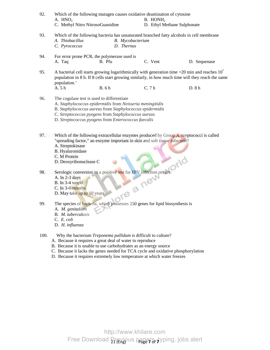| 92.  | Which of the following mutagen causes oxidative deamination of cytosine<br>A. $HNO2$<br>C. Methyl Nitro NitrosoGuanidine                                                                                                                                                                                                                                      |                                | $B.$ HON $H2$<br>D. Ethyl Methane Sulphonate |              |  |  |  |
|------|---------------------------------------------------------------------------------------------------------------------------------------------------------------------------------------------------------------------------------------------------------------------------------------------------------------------------------------------------------------|--------------------------------|----------------------------------------------|--------------|--|--|--|
| 93.  | Which of the following bacteria has unsaturated branched fatty alcohols in cell membrane<br>A. Thiobacillus<br>C. Pyrococcus                                                                                                                                                                                                                                  | B. Mycobacterium<br>D. Thernus |                                              |              |  |  |  |
| 94.  | For error prone PCR, the polymerase used is<br>A. Taq<br>B. Pfu                                                                                                                                                                                                                                                                                               |                                | C. Vent                                      | D. Sequenase |  |  |  |
| 95.  | A bacterial cell starts growing logarithmically with generation time = $20$ min and reaches $10'$<br>population in 8 h. If 8 cells start growing similarly, in how much time will they reach the same<br>population.'                                                                                                                                         |                                |                                              |              |  |  |  |
|      | A. 5 h<br><b>B.</b> 6 h                                                                                                                                                                                                                                                                                                                                       |                                | C.7h                                         | D. 8 h       |  |  |  |
| 96.  | The cogulase test is used to differentiate<br>A. Staphylococcus epidermidis from Neisseria meningitidis<br>B. Staphylococcus aureus from Staphylococcus epidermidis<br>C. Streptococcus pyogens from Staphylococcus aureus<br>D. Streptococcus pyogens from Enterococcus faecalis                                                                             |                                |                                              |              |  |  |  |
| 97.  | Which of the following extracellular enzymes produced by Group A streptococci is called<br>"spreading factor," an enzyme important in skin and soft tissue infection?<br>A. Streptokinase<br>B. Hyaluronidase<br>C. M Protein                                                                                                                                 |                                |                                              |              |  |  |  |
| 98.  | Serologic conversion to a positive test for HIV infection occurs.<br>A. In 2-3 days<br>B. In 3-4 weeks<br>re a new<br>C. In 3-6 months<br>D. May take up to 10 years                                                                                                                                                                                          |                                |                                              |              |  |  |  |
| 99.  | The species of <b>bacteria</b> , which possesses 250 genes for lipid biosynthesis is $\Lambda$ .<br>A. M. genitalium<br><b>B.</b> <i>M.</i> tuberculosis<br>C. E. coli<br>D. H. influenza                                                                                                                                                                     |                                |                                              |              |  |  |  |
| 100. | Why the bacterium Treponema pallidum is difficult to culture?<br>A. Because it requires a great deal of water to reproduce<br>B. Because it is unable to use carbohydrates as an energy source<br>C. Because it lacks the genes needed for TCA cycle and oxidative phosphorylation<br>D. Because it requires extremely low temperature at which water freezes |                                |                                              |              |  |  |  |

 $21$  (Eng)<sup> $\cup$  ></sup> Page **7** of **7** http://www.khilare.com Free Download Brevious papers, typing, jobs alert